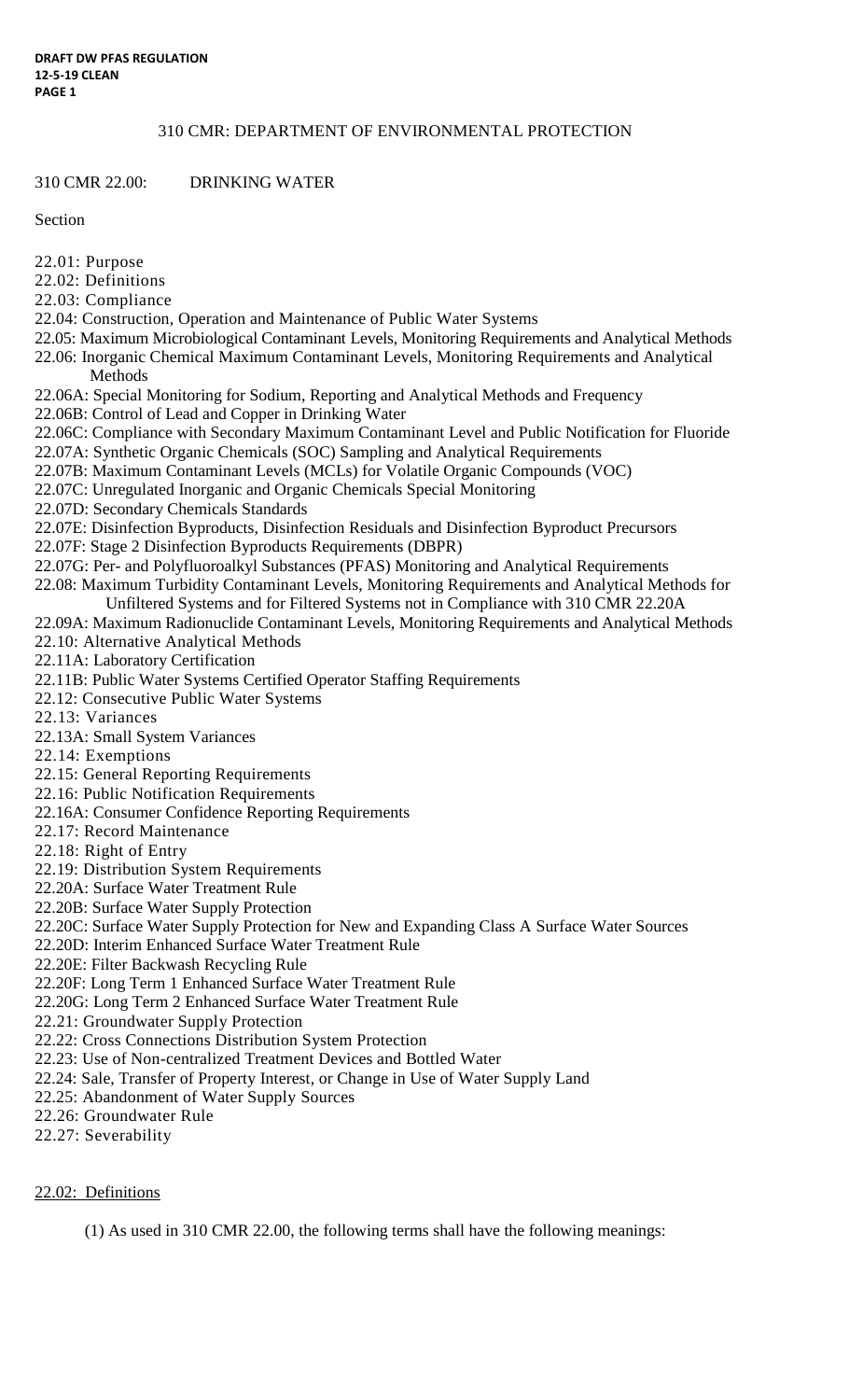#### 310 CMR: DEPARTMENT OF ENVIRONMENTAL PROTECTION

310 CMR 22.00: DRINKING WATER

Section

- 22.01: Purpose
- 22.02: Definitions
- 22.03: Compliance
- 22.04: Construction, Operation and Maintenance of Public Water Systems
- 22.05: Maximum Microbiological Contaminant Levels, Monitoring Requirements and Analytical Methods 22.06: Inorganic Chemical Maximum Contaminant Levels, Monitoring Requirements and Analytical Methods
- 22.06A: Special Monitoring for Sodium, Reporting and Analytical Methods and Frequency
- 22.06B: Control of Lead and Copper in Drinking Water
- 22.06C: Compliance with Secondary Maximum Contaminant Level and Public Notification for Fluoride
- 22.07A: Synthetic Organic Chemicals (SOC) Sampling and Analytical Requirements
- 22.07B: Maximum Contaminant Levels (MCLs) for Volatile Organic Compounds (VOC)
- 22.07C: Unregulated Inorganic and Organic Chemicals Special Monitoring
- 22.07D: Secondary Chemicals Standards
- 22.07E: Disinfection Byproducts, Disinfection Residuals and Disinfection Byproduct Precursors
- 22.07F: Stage 2 Disinfection Byproducts Requirements (DBPR)
- 22.07G: Per- and Polyfluoroalkyl Substances (PFAS) Monitoring and Analytical Requirements
- 22.08: Maximum Turbidity Contaminant Levels, Monitoring Requirements and Analytical Methods for
- Unfiltered Systems and for Filtered Systems not in Compliance with 310 CMR 22.20A
- 22.09A: Maximum Radionuclide Contaminant Levels, Monitoring Requirements and Analytical Methods 22.10: Alternative Analytical Methods
- 22.11A: Laboratory Certification
- 22.11B: Public Water Systems Certified Operator Staffing Requirements
- 22.12: Consecutive Public Water Systems
- 22.13: Variances
- 22.13A: Small System Variances
- 22.14: Exemptions
- 22.15: General Reporting Requirements
- 22.16: Public Notification Requirements
- 22.16A: Consumer Confidence Reporting Requirements
- 22.17: Record Maintenance
- 22.18: Right of Entry
- 22.19: Distribution System Requirements
- 22.20A: Surface Water Treatment Rule
- 22.20B: Surface Water Supply Protection
- 22.20C: Surface Water Supply Protection for New and Expanding Class A Surface Water Sources
- 22.20D: Interim Enhanced Surface Water Treatment Rule
- 22.20E: Filter Backwash Recycling Rule
- 22.20F: Long Term 1 Enhanced Surface Water Treatment Rule
- 22.20G: Long Term 2 Enhanced Surface Water Treatment Rule
- 22.21: Groundwater Supply Protection
- 22.22: Cross Connections Distribution System Protection
- 22.23: Use of Non-centralized Treatment Devices and Bottled Water
- 22.24: Sale, Transfer of Property Interest, or Change in Use of Water Supply Land
- 22.25: Abandonment of Water Supply Sources
- 22.26: Groundwater Rule
- 22.27: Severability

## 22.02: Definitions

(1) As used in 310 CMR 22.00, the following terms shall have the following meanings: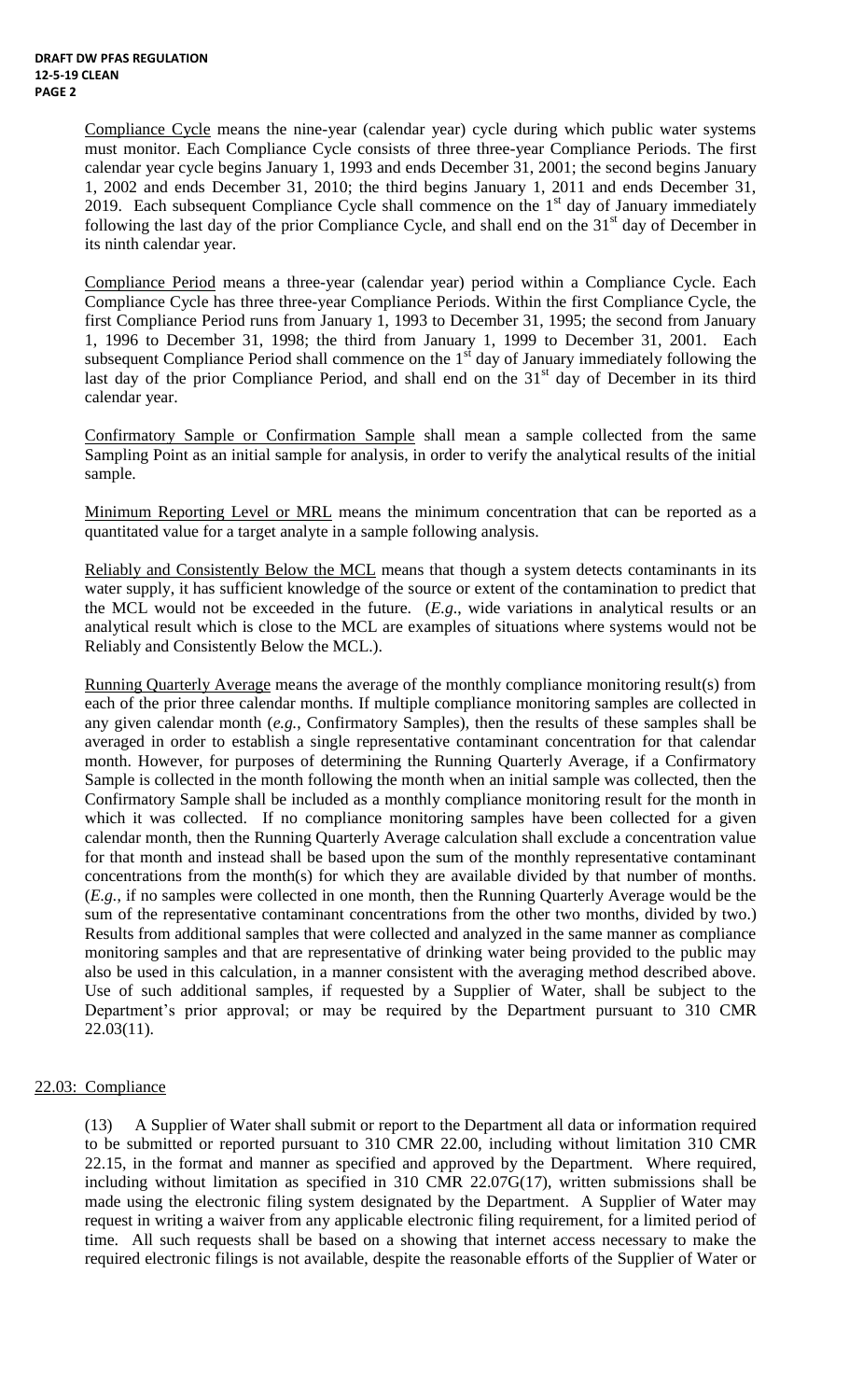Compliance Cycle means the nine-year (calendar year) cycle during which public water systems must monitor. Each Compliance Cycle consists of three three-year Compliance Periods. The first calendar year cycle begins January 1, 1993 and ends December 31, 2001; the second begins January 1, 2002 and ends December 31, 2010; the third begins January 1, 2011 and ends December 31, 2019. Each subsequent Compliance Cycle shall commence on the  $1<sup>st</sup>$  day of January immediately following the last day of the prior Compliance Cycle, and shall end on the 31<sup>st</sup> day of December in its ninth calendar year.

Compliance Period means a three-year (calendar year) period within a Compliance Cycle. Each Compliance Cycle has three three-year Compliance Periods. Within the first Compliance Cycle, the first Compliance Period runs from January 1, 1993 to December 31, 1995; the second from January 1, 1996 to December 31, 1998; the third from January 1, 1999 to December 31, 2001. Each subsequent Compliance Period shall commence on the  $1<sup>st</sup>$  day of January immediately following the last day of the prior Compliance Period, and shall end on the  $31<sup>st</sup>$  day of December in its third calendar year.

Confirmatory Sample or Confirmation Sample shall mean a sample collected from the same Sampling Point as an initial sample for analysis, in order to verify the analytical results of the initial sample.

Minimum Reporting Level or MRL means the minimum concentration that can be reported as a quantitated value for a target analyte in a sample following analysis.

Reliably and Consistently Below the MCL means that though a system detects contaminants in its water supply, it has sufficient knowledge of the source or extent of the contamination to predict that the MCL would not be exceeded in the future. (*E.g*., wide variations in analytical results or an analytical result which is close to the MCL are examples of situations where systems would not be Reliably and Consistently Below the MCL.).

Running Quarterly Average means the average of the monthly compliance monitoring result(s) from each of the prior three calendar months. If multiple compliance monitoring samples are collected in any given calendar month (*e.g.*, Confirmatory Samples), then the results of these samples shall be averaged in order to establish a single representative contaminant concentration for that calendar month. However, for purposes of determining the Running Quarterly Average, if a Confirmatory Sample is collected in the month following the month when an initial sample was collected, then the Confirmatory Sample shall be included as a monthly compliance monitoring result for the month in which it was collected. If no compliance monitoring samples have been collected for a given calendar month, then the Running Quarterly Average calculation shall exclude a concentration value for that month and instead shall be based upon the sum of the monthly representative contaminant concentrations from the month(s) for which they are available divided by that number of months. (*E.g.*, if no samples were collected in one month, then the Running Quarterly Average would be the sum of the representative contaminant concentrations from the other two months, divided by two.) Results from additional samples that were collected and analyzed in the same manner as compliance monitoring samples and that are representative of drinking water being provided to the public may also be used in this calculation, in a manner consistent with the averaging method described above. Use of such additional samples, if requested by a Supplier of Water, shall be subject to the Department's prior approval; or may be required by the Department pursuant to 310 CMR 22.03(11).

## 22.03: Compliance

(13) A Supplier of Water shall submit or report to the Department all data or information required to be submitted or reported pursuant to 310 CMR 22.00, including without limitation 310 CMR 22.15, in the format and manner as specified and approved by the Department. Where required, including without limitation as specified in 310 CMR 22.07G(17), written submissions shall be made using the electronic filing system designated by the Department. A Supplier of Water may request in writing a waiver from any applicable electronic filing requirement, for a limited period of time. All such requests shall be based on a showing that internet access necessary to make the required electronic filings is not available, despite the reasonable efforts of the Supplier of Water or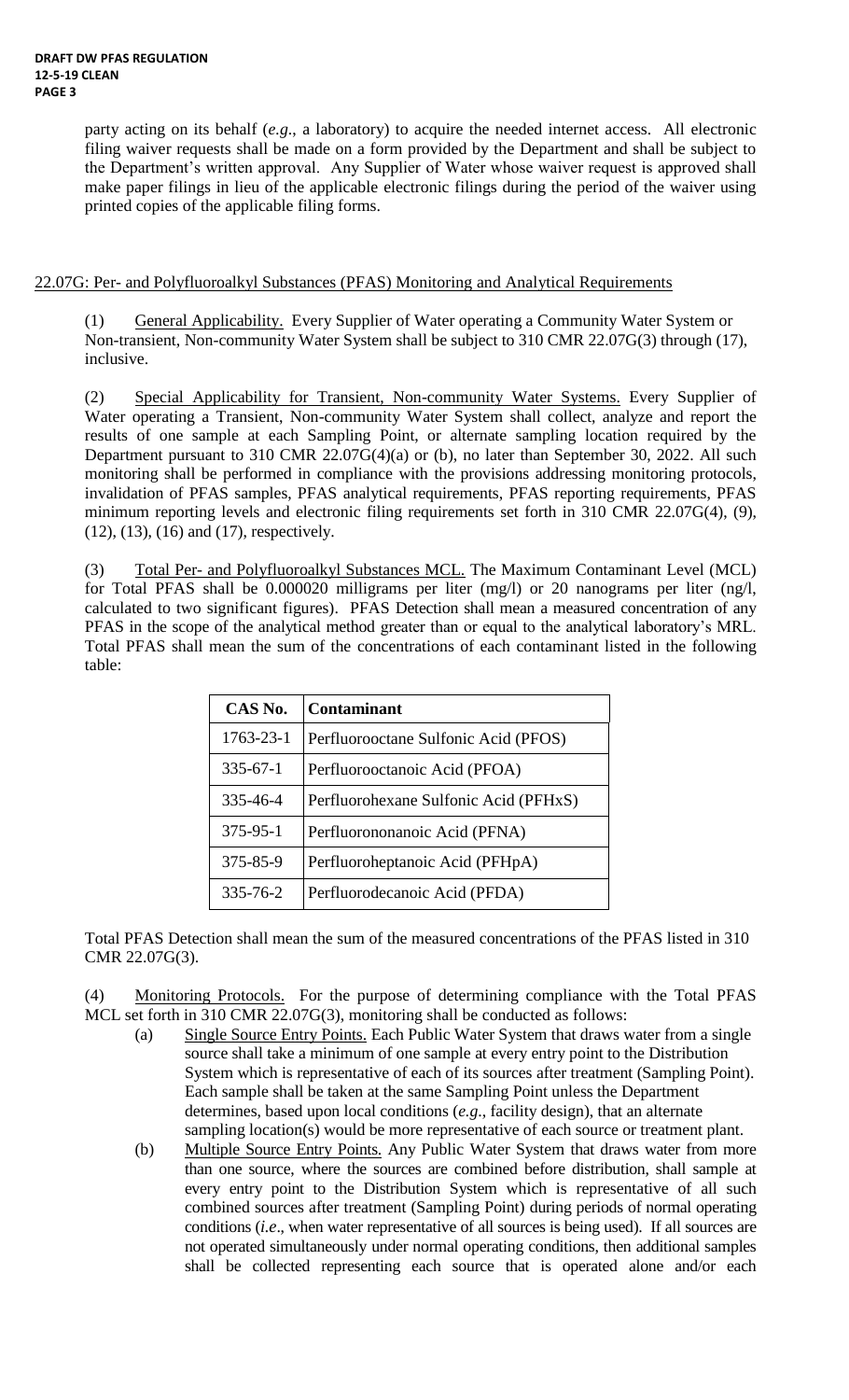party acting on its behalf (*e.g*., a laboratory) to acquire the needed internet access. All electronic filing waiver requests shall be made on a form provided by the Department and shall be subject to the Department's written approval. Any Supplier of Water whose waiver request is approved shall make paper filings in lieu of the applicable electronic filings during the period of the waiver using printed copies of the applicable filing forms.

#### 22.07G: Per- and Polyfluoroalkyl Substances (PFAS) Monitoring and Analytical Requirements

(1) General Applicability. Every Supplier of Water operating a Community Water System or Non-transient, Non-community Water System shall be subject to 310 CMR 22.07G(3) through (17), inclusive.

(2) Special Applicability for Transient, Non-community Water Systems. Every Supplier of Water operating a Transient, Non-community Water System shall collect, analyze and report the results of one sample at each Sampling Point, or alternate sampling location required by the Department pursuant to 310 CMR 22.07G(4)(a) or (b), no later than September 30, 2022. All such monitoring shall be performed in compliance with the provisions addressing monitoring protocols, invalidation of PFAS samples, PFAS analytical requirements, PFAS reporting requirements, PFAS minimum reporting levels and electronic filing requirements set forth in 310 CMR 22.07G(4), (9), (12), (13), (16) and (17), respectively.

(3) Total Per- and Polyfluoroalkyl Substances MCL. The Maximum Contaminant Level (MCL) for Total PFAS shall be 0.000020 milligrams per liter (mg/l) or 20 nanograms per liter (ng/l, calculated to two significant figures). PFAS Detection shall mean a measured concentration of any PFAS in the scope of the analytical method greater than or equal to the analytical laboratory's MRL. Total PFAS shall mean the sum of the concentrations of each contaminant listed in the following table:

| CAS No.        | <b>Contaminant</b>                    |
|----------------|---------------------------------------|
| 1763-23-1      | Perfluorooctane Sulfonic Acid (PFOS)  |
| $335 - 67 - 1$ | Perfluorooctanoic Acid (PFOA)         |
| 335-46-4       | Perfluorohexane Sulfonic Acid (PFHxS) |
| 375-95-1       | Perfluorononanoic Acid (PFNA)         |
| 375-85-9       | Perfluoroheptanoic Acid (PFHpA)       |
| $335 - 76 - 2$ | Perfluorodecanoic Acid (PFDA)         |

Total PFAS Detection shall mean the sum of the measured concentrations of the PFAS listed in 310 CMR 22.07G(3).

(4) Monitoring Protocols. For the purpose of determining compliance with the Total PFAS MCL set forth in 310 CMR 22.07G(3), monitoring shall be conducted as follows:

- (a) Single Source Entry Points. Each Public Water System that draws water from a single source shall take a minimum of one sample at every entry point to the Distribution System which is representative of each of its sources after treatment (Sampling Point). Each sample shall be taken at the same Sampling Point unless the Department determines, based upon local conditions (*e.g*., facility design), that an alternate sampling location(s) would be more representative of each source or treatment plant.
- (b) Multiple Source Entry Points. Any Public Water System that draws water from more than one source, where the sources are combined before distribution, shall sample at every entry point to the Distribution System which is representative of all such combined sources after treatment (Sampling Point) during periods of normal operating conditions (*i.e*., when water representative of all sources is being used). If all sources are not operated simultaneously under normal operating conditions, then additional samples shall be collected representing each source that is operated alone and/or each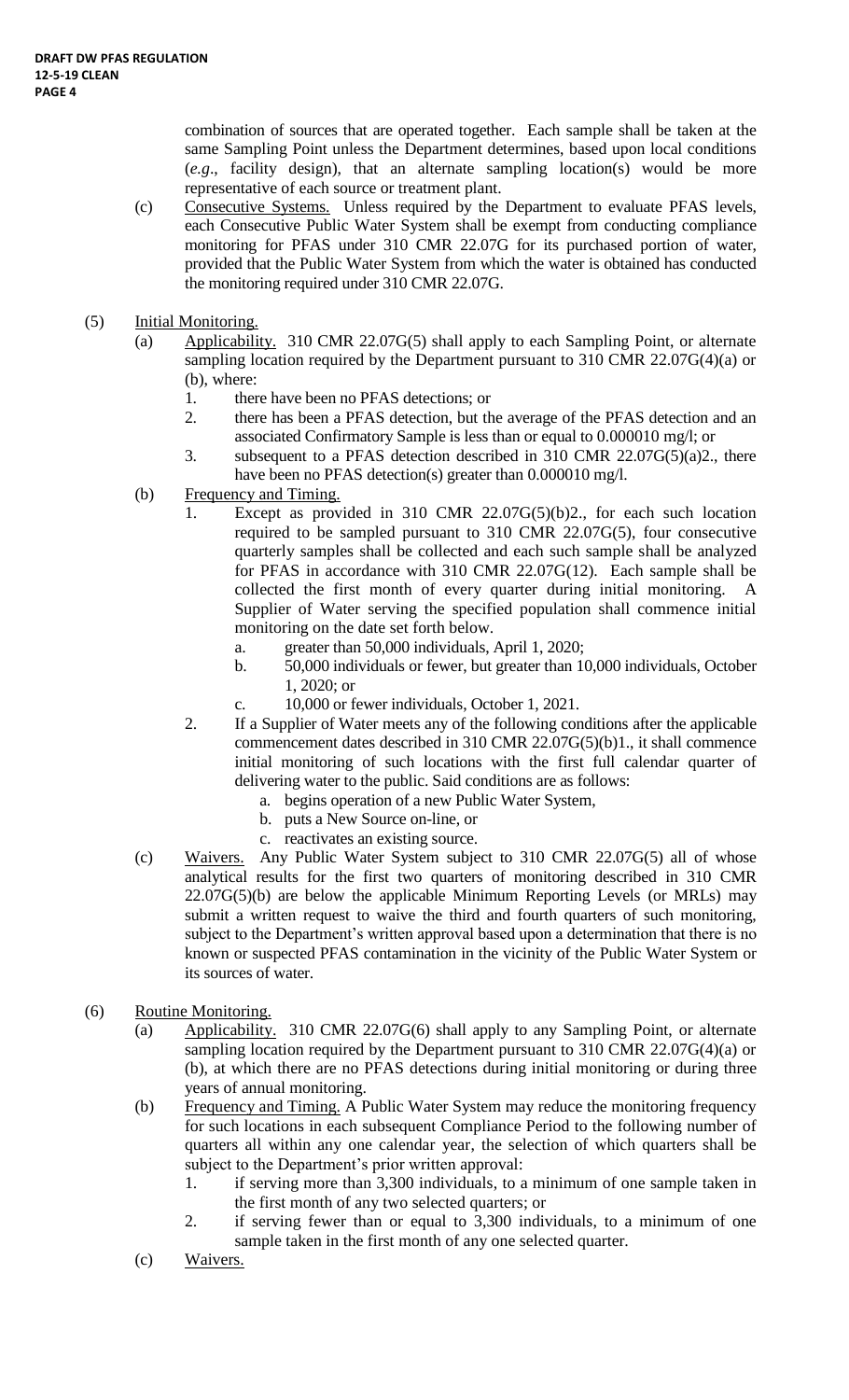combination of sources that are operated together. Each sample shall be taken at the same Sampling Point unless the Department determines, based upon local conditions (*e.g*., facility design), that an alternate sampling location(s) would be more representative of each source or treatment plant.

- (c) Consecutive Systems. Unless required by the Department to evaluate PFAS levels, each Consecutive Public Water System shall be exempt from conducting compliance monitoring for PFAS under 310 CMR 22.07G for its purchased portion of water, provided that the Public Water System from which the water is obtained has conducted the monitoring required under 310 CMR 22.07G.
- (5) Initial Monitoring.
	- (a) Applicability. 310 CMR 22.07G(5) shall apply to each Sampling Point, or alternate sampling location required by the Department pursuant to 310 CMR 22.07G(4)(a) or (b), where:
		- 1. there have been no PFAS detections; or
		- 2. there has been a PFAS detection, but the average of the PFAS detection and an associated Confirmatory Sample is less than or equal to 0.000010 mg/l; or
		- 3. subsequent to a PFAS detection described in 310 CMR  $22.07G(5)(a)2$ , there have been no PFAS detection(s) greater than 0.000010 mg/l.
	- (b) Frequency and Timing.
		- 1. Except as provided in 310 CMR 22.07G(5)(b)2., for each such location required to be sampled pursuant to 310 CMR 22.07G(5), four consecutive quarterly samples shall be collected and each such sample shall be analyzed for PFAS in accordance with 310 CMR 22.07G(12). Each sample shall be collected the first month of every quarter during initial monitoring. A Supplier of Water serving the specified population shall commence initial monitoring on the date set forth below.
			- a. greater than 50,000 individuals, April 1, 2020;
			- b. 50,000 individuals or fewer, but greater than 10,000 individuals, October 1, 2020; or
			- c. 10,000 or fewer individuals, October 1, 2021.
		- 2. If a Supplier of Water meets any of the following conditions after the applicable commencement dates described in 310 CMR 22.07G(5)(b)1., it shall commence initial monitoring of such locations with the first full calendar quarter of delivering water to the public. Said conditions are as follows:
			- a. begins operation of a new Public Water System,
			- b. puts a New Source on-line, or
			- c. reactivates an existing source.
	- (c) Waivers. Any Public Water System subject to 310 CMR 22.07G(5) all of whose analytical results for the first two quarters of monitoring described in 310 CMR  $22.07G(5)(b)$  are below the applicable Minimum Reporting Levels (or MRLs) may submit a written request to waive the third and fourth quarters of such monitoring, subject to the Department's written approval based upon a determination that there is no known or suspected PFAS contamination in the vicinity of the Public Water System or its sources of water.
- (6) Routine Monitoring.
	- (a) Applicability. 310 CMR 22.07G(6) shall apply to any Sampling Point, or alternate sampling location required by the Department pursuant to 310 CMR 22.07G(4)(a) or (b), at which there are no PFAS detections during initial monitoring or during three years of annual monitoring.
	- (b) Frequency and Timing. A Public Water System may reduce the monitoring frequency for such locations in each subsequent Compliance Period to the following number of quarters all within any one calendar year, the selection of which quarters shall be subject to the Department's prior written approval:
		- 1. if serving more than 3,300 individuals, to a minimum of one sample taken in the first month of any two selected quarters; or
		- 2. if serving fewer than or equal to 3,300 individuals, to a minimum of one sample taken in the first month of any one selected quarter.
	- (c) Waivers.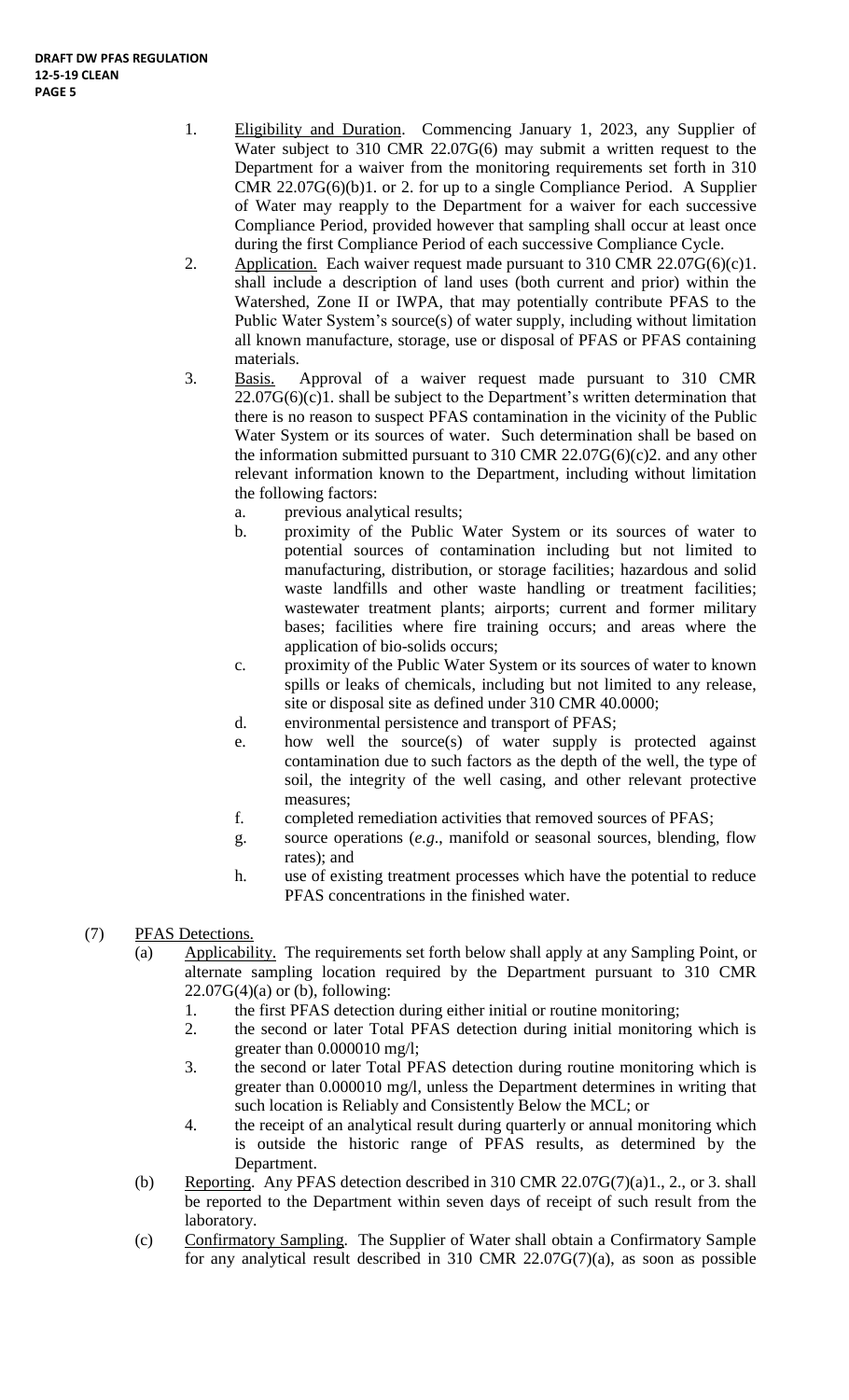- 1. Eligibility and Duration. Commencing January 1, 2023, any Supplier of Water subject to 310 CMR 22.07G(6) may submit a written request to the Department for a waiver from the monitoring requirements set forth in 310 CMR 22.07G(6)(b)1. or 2. for up to a single Compliance Period. A Supplier of Water may reapply to the Department for a waiver for each successive Compliance Period, provided however that sampling shall occur at least once during the first Compliance Period of each successive Compliance Cycle.
- 2. Application. Each waiver request made pursuant to  $310$  CMR  $22.07G(6)(c)1$ . shall include a description of land uses (both current and prior) within the Watershed, Zone II or IWPA, that may potentially contribute PFAS to the Public Water System's source(s) of water supply, including without limitation all known manufacture, storage, use or disposal of PFAS or PFAS containing materials.
- 3. Basis. Approval of a waiver request made pursuant to 310 CMR  $22.07G(6)(c)1$ . shall be subject to the Department's written determination that there is no reason to suspect PFAS contamination in the vicinity of the Public Water System or its sources of water. Such determination shall be based on the information submitted pursuant to 310 CMR 22.07 $G(6)(c)$ 2. and any other relevant information known to the Department, including without limitation the following factors:
	- a. previous analytical results;
	- b. proximity of the Public Water System or its sources of water to potential sources of contamination including but not limited to manufacturing, distribution, or storage facilities; hazardous and solid waste landfills and other waste handling or treatment facilities; wastewater treatment plants; airports; current and former military bases; facilities where fire training occurs; and areas where the application of bio-solids occurs;
	- c. proximity of the Public Water System or its sources of water to known spills or leaks of chemicals, including but not limited to any release, site or disposal site as defined under 310 CMR 40.0000;
	- d. environmental persistence and transport of PFAS;
	- e. how well the source(s) of water supply is protected against contamination due to such factors as the depth of the well, the type of soil, the integrity of the well casing, and other relevant protective measures;
	- f. completed remediation activities that removed sources of PFAS;
	- g. source operations (*e.g*., manifold or seasonal sources, blending, flow rates); and
	- h. use of existing treatment processes which have the potential to reduce PFAS concentrations in the finished water.
- (7) PFAS Detections.
	- (a) Applicability. The requirements set forth below shall apply at any Sampling Point, or alternate sampling location required by the Department pursuant to 310 CMR  $22.07G(4)(a)$  or (b), following:
		- 1. the first PFAS detection during either initial or routine monitoring;
		- 2. the second or later Total PFAS detection during initial monitoring which is greater than 0.000010 mg/l;
		- 3. the second or later Total PFAS detection during routine monitoring which is greater than 0.000010 mg/l, unless the Department determines in writing that such location is Reliably and Consistently Below the MCL; or
		- 4. the receipt of an analytical result during quarterly or annual monitoring which is outside the historic range of PFAS results, as determined by the Department.
	- (b) Reporting. Any PFAS detection described in 310 CMR 22.07G(7)(a)1., 2., or 3. shall be reported to the Department within seven days of receipt of such result from the laboratory.
	- (c) Confirmatory Sampling. The Supplier of Water shall obtain a Confirmatory Sample for any analytical result described in 310 CMR 22.07G(7)(a), as soon as possible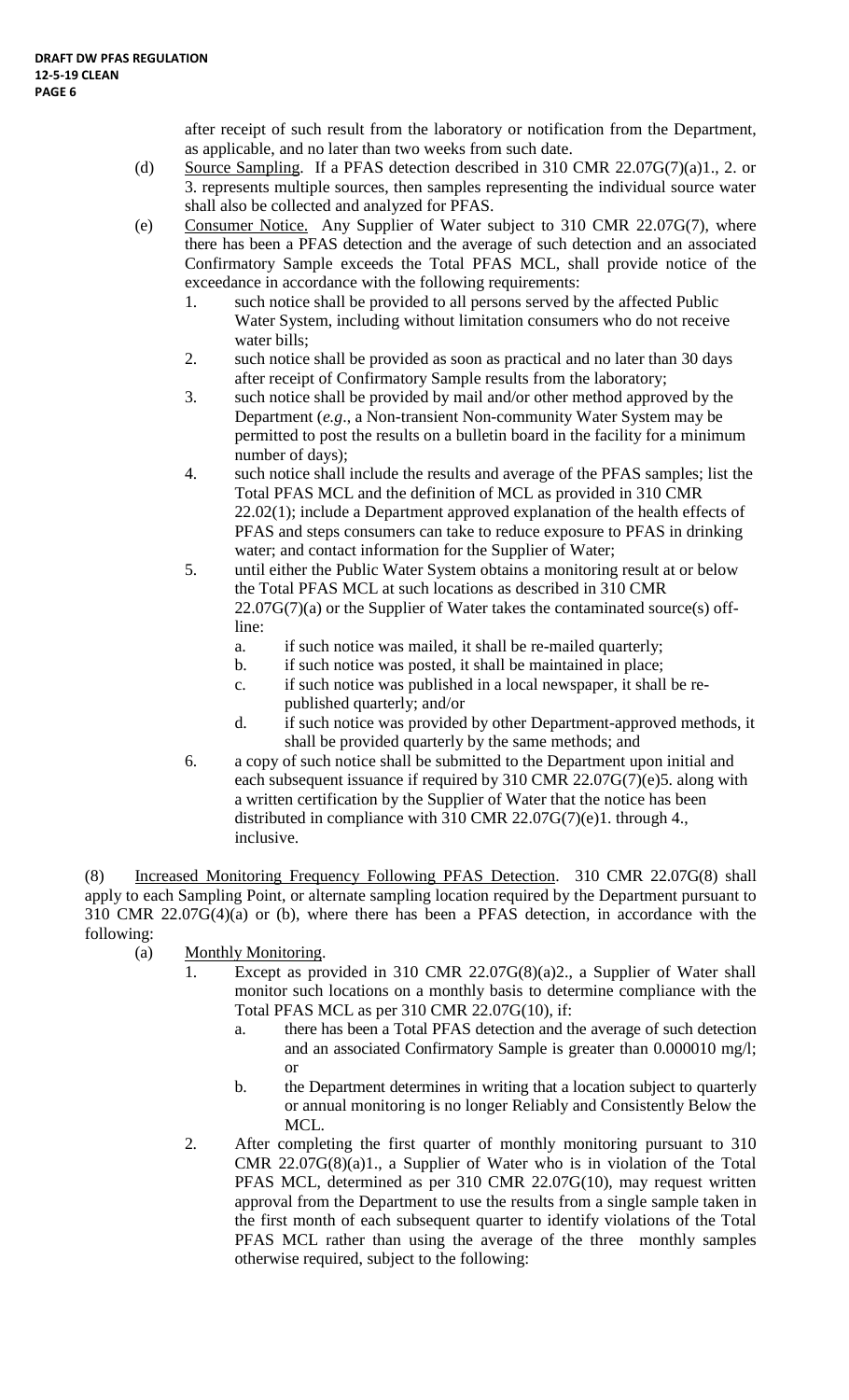after receipt of such result from the laboratory or notification from the Department, as applicable, and no later than two weeks from such date.

- (d) Source Sampling. If a PFAS detection described in 310 CMR 22.07G(7)(a)1., 2. or 3. represents multiple sources, then samples representing the individual source water shall also be collected and analyzed for PFAS.
- (e) Consumer Notice. Any Supplier of Water subject to 310 CMR 22.07G(7), where there has been a PFAS detection and the average of such detection and an associated Confirmatory Sample exceeds the Total PFAS MCL, shall provide notice of the exceedance in accordance with the following requirements:
	- 1. such notice shall be provided to all persons served by the affected Public Water System, including without limitation consumers who do not receive water bills;
	- 2. such notice shall be provided as soon as practical and no later than 30 days after receipt of Confirmatory Sample results from the laboratory;
	- 3. such notice shall be provided by mail and/or other method approved by the Department (*e.g*., a Non-transient Non-community Water System may be permitted to post the results on a bulletin board in the facility for a minimum number of days);
	- 4. such notice shall include the results and average of the PFAS samples; list the Total PFAS MCL and the definition of MCL as provided in 310 CMR 22.02(1); include a Department approved explanation of the health effects of PFAS and steps consumers can take to reduce exposure to PFAS in drinking water; and contact information for the Supplier of Water;
	- 5. until either the Public Water System obtains a monitoring result at or below the Total PFAS MCL at such locations as described in 310 CMR  $22.07G(7)(a)$  or the Supplier of Water takes the contaminated source(s) offline:
		- a. if such notice was mailed, it shall be re-mailed quarterly;
		- b. if such notice was posted, it shall be maintained in place;
		- c. if such notice was published in a local newspaper, it shall be republished quarterly; and/or
		- d. if such notice was provided by other Department-approved methods, it shall be provided quarterly by the same methods; and
	- 6. a copy of such notice shall be submitted to the Department upon initial and each subsequent issuance if required by 310 CMR 22.07G(7)(e)5. along with a written certification by the Supplier of Water that the notice has been distributed in compliance with 310 CMR 22.07G(7)(e)1. through 4., inclusive.

(8) Increased Monitoring Frequency Following PFAS Detection. 310 CMR 22.07G(8) shall apply to each Sampling Point, or alternate sampling location required by the Department pursuant to 310 CMR 22.07G(4)(a) or (b), where there has been a PFAS detection, in accordance with the following:

- (a) Monthly Monitoring.
	- 1. Except as provided in 310 CMR 22.07G(8)(a)2., a Supplier of Water shall monitor such locations on a monthly basis to determine compliance with the Total PFAS MCL as per 310 CMR 22.07G(10), if:
		- a. there has been a Total PFAS detection and the average of such detection and an associated Confirmatory Sample is greater than 0.000010 mg/l; or
		- b. the Department determines in writing that a location subject to quarterly or annual monitoring is no longer Reliably and Consistently Below the MCL.
	- 2. After completing the first quarter of monthly monitoring pursuant to 310 CMR 22.07G(8)(a)1., a Supplier of Water who is in violation of the Total PFAS MCL, determined as per 310 CMR 22.07G(10), may request written approval from the Department to use the results from a single sample taken in the first month of each subsequent quarter to identify violations of the Total PFAS MCL rather than using the average of the three monthly samples otherwise required, subject to the following: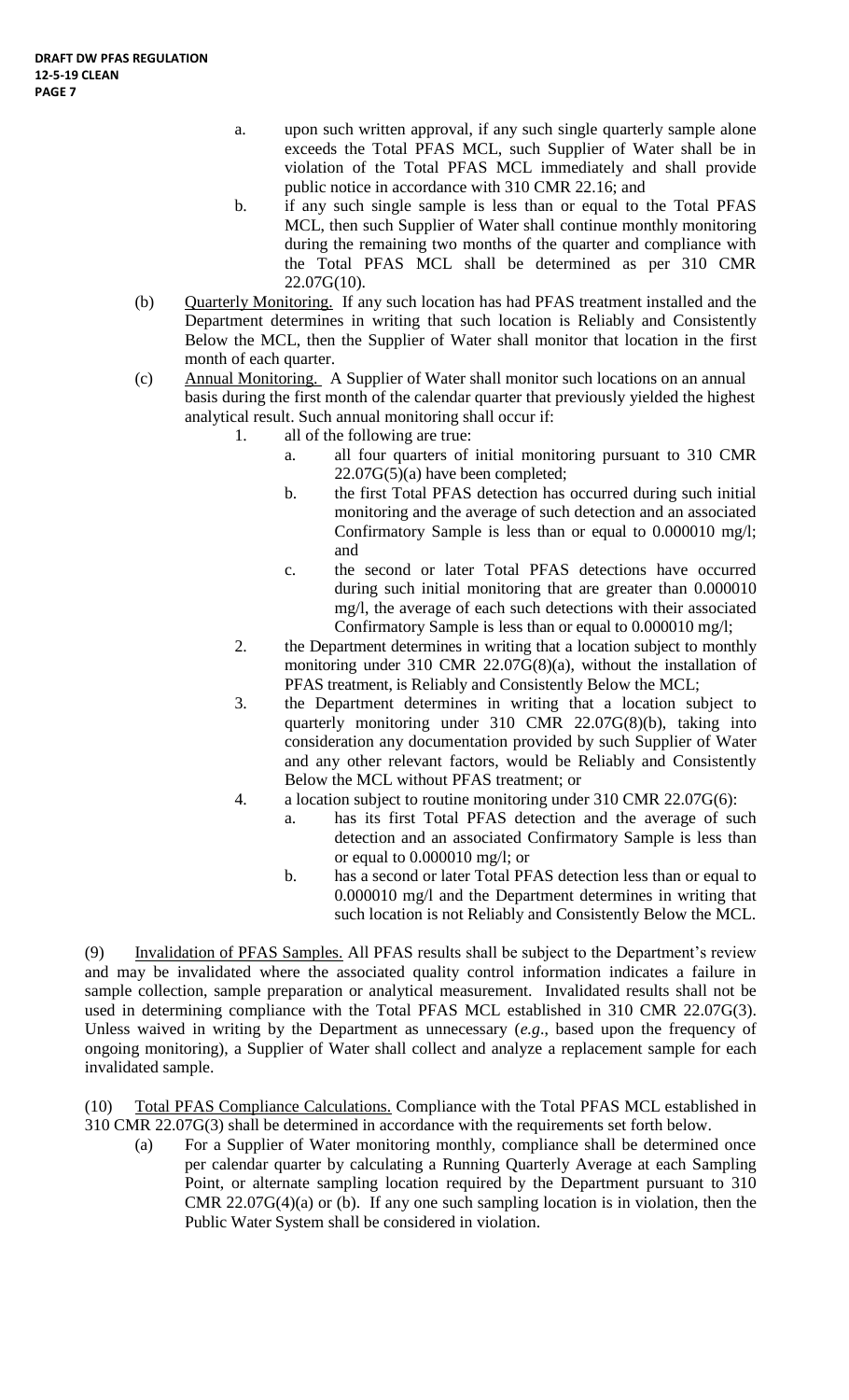- a. upon such written approval, if any such single quarterly sample alone exceeds the Total PFAS MCL, such Supplier of Water shall be in violation of the Total PFAS MCL immediately and shall provide public notice in accordance with 310 CMR 22.16; and
- b. if any such single sample is less than or equal to the Total PFAS MCL, then such Supplier of Water shall continue monthly monitoring during the remaining two months of the quarter and compliance with the Total PFAS MCL shall be determined as per 310 CMR 22.07G(10).
- (b) Quarterly Monitoring. If any such location has had PFAS treatment installed and the Department determines in writing that such location is Reliably and Consistently Below the MCL, then the Supplier of Water shall monitor that location in the first month of each quarter.
- (c) Annual Monitoring. A Supplier of Water shall monitor such locations on an annual basis during the first month of the calendar quarter that previously yielded the highest analytical result. Such annual monitoring shall occur if:
	- 1. all of the following are true:
		- a. all four quarters of initial monitoring pursuant to 310 CMR 22.07G(5)(a) have been completed;
		- b. the first Total PFAS detection has occurred during such initial monitoring and the average of such detection and an associated Confirmatory Sample is less than or equal to 0.000010 mg/l; and
		- c. the second or later Total PFAS detections have occurred during such initial monitoring that are greater than 0.000010 mg/l, the average of each such detections with their associated Confirmatory Sample is less than or equal to 0.000010 mg/l;
	- 2. the Department determines in writing that a location subject to monthly monitoring under 310 CMR 22.07G(8)(a), without the installation of PFAS treatment, is Reliably and Consistently Below the MCL;
	- 3. the Department determines in writing that a location subject to quarterly monitoring under 310 CMR 22.07G(8)(b), taking into consideration any documentation provided by such Supplier of Water and any other relevant factors, would be Reliably and Consistently Below the MCL without PFAS treatment; or
	- 4. a location subject to routine monitoring under 310 CMR 22.07G(6):
		- a. has its first Total PFAS detection and the average of such detection and an associated Confirmatory Sample is less than or equal to 0.000010 mg/l; or
		- b. has a second or later Total PFAS detection less than or equal to 0.000010 mg/l and the Department determines in writing that such location is not Reliably and Consistently Below the MCL.

(9) Invalidation of PFAS Samples. All PFAS results shall be subject to the Department's review and may be invalidated where the associated quality control information indicates a failure in sample collection, sample preparation or analytical measurement. Invalidated results shall not be used in determining compliance with the Total PFAS MCL established in 310 CMR 22.07G(3). Unless waived in writing by the Department as unnecessary (*e.g*., based upon the frequency of ongoing monitoring), a Supplier of Water shall collect and analyze a replacement sample for each invalidated sample.

(10) Total PFAS Compliance Calculations. Compliance with the Total PFAS MCL established in 310 CMR 22.07G(3) shall be determined in accordance with the requirements set forth below.

(a) For a Supplier of Water monitoring monthly, compliance shall be determined once per calendar quarter by calculating a Running Quarterly Average at each Sampling Point, or alternate sampling location required by the Department pursuant to 310 CMR 22.07G(4)(a) or (b). If any one such sampling location is in violation, then the Public Water System shall be considered in violation.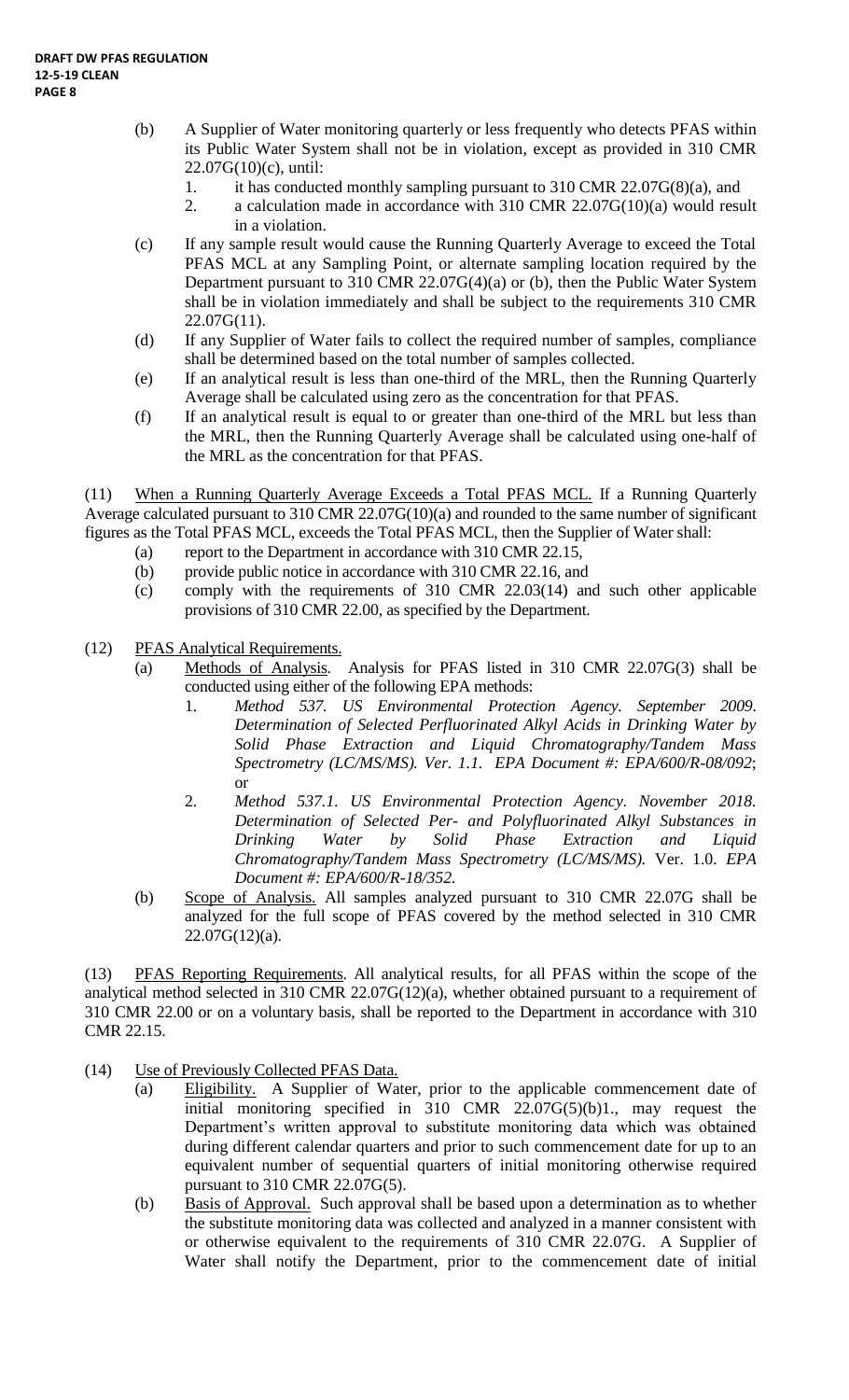- (b) A Supplier of Water monitoring quarterly or less frequently who detects PFAS within its Public Water System shall not be in violation, except as provided in 310 CMR 22.07G(10)(c), until:
	- 1. it has conducted monthly sampling pursuant to 310 CMR 22.07G(8)(a), and
	- 2. a calculation made in accordance with 310 CMR 22.07G(10)(a) would result in a violation.
- (c) If any sample result would cause the Running Quarterly Average to exceed the Total PFAS MCL at any Sampling Point, or alternate sampling location required by the Department pursuant to 310 CMR 22.07G(4)(a) or (b), then the Public Water System shall be in violation immediately and shall be subject to the requirements 310 CMR  $22.07G(11)$ .
- (d) If any Supplier of Water fails to collect the required number of samples, compliance shall be determined based on the total number of samples collected.
- (e) If an analytical result is less than one-third of the MRL, then the Running Quarterly Average shall be calculated using zero as the concentration for that PFAS.
- (f) If an analytical result is equal to or greater than one-third of the MRL but less than the MRL, then the Running Quarterly Average shall be calculated using one-half of the MRL as the concentration for that PFAS.

(11) When a Running Quarterly Average Exceeds a Total PFAS MCL. If a Running Quarterly Average calculated pursuant to 310 CMR 22.07G(10)(a) and rounded to the same number of significant figures as the Total PFAS MCL, exceeds the Total PFAS MCL, then the Supplier of Water shall:

- (a) report to the Department in accordance with 310 CMR 22.15,
- (b) provide public notice in accordance with 310 CMR 22.16, and
- (c) comply with the requirements of 310 CMR 22.03(14) and such other applicable provisions of 310 CMR 22.00, as specified by the Department.
- (12) PFAS Analytical Requirements.
	- (a) Methods of Analysis. Analysis for PFAS listed in 310 CMR 22.07G(3) shall be conducted using either of the following EPA methods:
		- 1. *Method 537. US Environmental Protection Agency. September 2009*. *Determination of Selected Perfluorinated Alkyl Acids in Drinking Water by Solid Phase Extraction and Liquid Chromatography/Tandem Mass Spectrometry (LC/MS/MS). Ver. 1.1. EPA Document #: EPA/600/R-08/092*; or
		- 2. *Method 537.1. US Environmental Protection Agency. November 2018. Determination of Selected Per- and Polyfluorinated Alkyl Substances in Drinking Water by Solid Phase Extraction and Liquid Chromatography/Tandem Mass Spectrometry (LC/MS/MS).* Ver. 1.0. *EPA Document #: EPA/600/R-18/352.*
	- (b) Scope of Analysis. All samples analyzed pursuant to 310 CMR 22.07G shall be analyzed for the full scope of PFAS covered by the method selected in 310 CMR 22.07G(12)(a).

(13) PFAS Reporting Requirements. All analytical results, for all PFAS within the scope of the analytical method selected in 310 CMR 22.07G(12)(a), whether obtained pursuant to a requirement of 310 CMR 22.00 or on a voluntary basis, shall be reported to the Department in accordance with 310 CMR 22.15.

- (14) Use of Previously Collected PFAS Data.
	- (a) Eligibility. A Supplier of Water, prior to the applicable commencement date of initial monitoring specified in  $\overline{310}$  CMR  $22.07G(5)(b)1$ ., may request the Department's written approval to substitute monitoring data which was obtained during different calendar quarters and prior to such commencement date for up to an equivalent number of sequential quarters of initial monitoring otherwise required pursuant to 310 CMR 22.07G(5).
	- (b) Basis of Approval. Such approval shall be based upon a determination as to whether the substitute monitoring data was collected and analyzed in a manner consistent with or otherwise equivalent to the requirements of 310 CMR 22.07G. A Supplier of Water shall notify the Department, prior to the commencement date of initial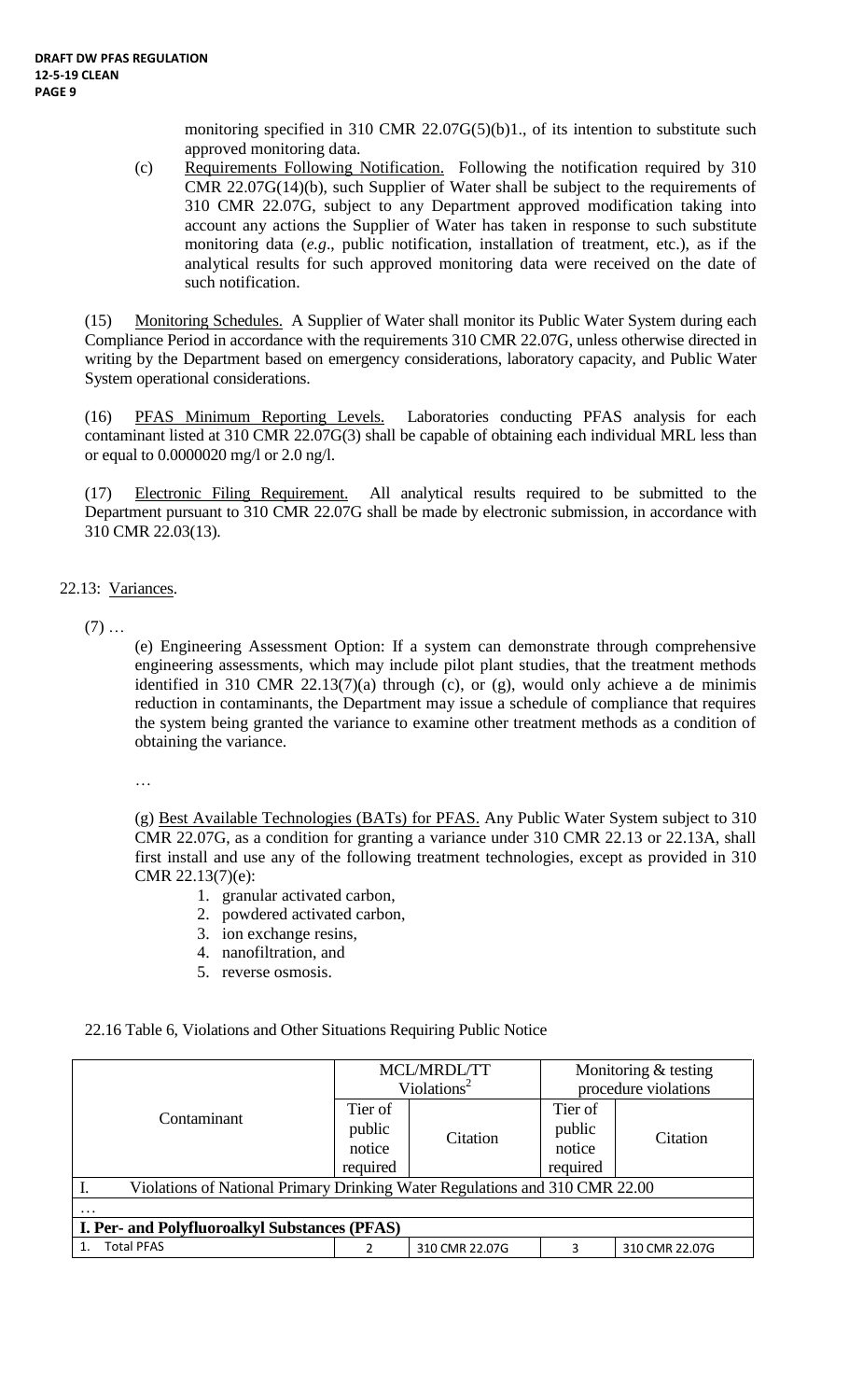monitoring specified in 310 CMR 22.07G(5)(b)1., of its intention to substitute such approved monitoring data.

(c) Requirements Following Notification. Following the notification required by 310 CMR 22.07G(14)(b), such Supplier of Water shall be subject to the requirements of 310 CMR 22.07G, subject to any Department approved modification taking into account any actions the Supplier of Water has taken in response to such substitute monitoring data (*e.g*., public notification, installation of treatment, etc.), as if the analytical results for such approved monitoring data were received on the date of such notification.

(15) Monitoring Schedules. A Supplier of Water shall monitor its Public Water System during each Compliance Period in accordance with the requirements 310 CMR 22.07G, unless otherwise directed in writing by the Department based on emergency considerations, laboratory capacity, and Public Water System operational considerations.

(16) PFAS Minimum Reporting Levels. Laboratories conducting PFAS analysis for each contaminant listed at 310 CMR 22.07G(3) shall be capable of obtaining each individual MRL less than or equal to 0.0000020 mg/l or 2.0 ng/l.

(17) Electronic Filing Requirement. All analytical results required to be submitted to the Department pursuant to 310 CMR 22.07G shall be made by electronic submission, in accordance with 310 CMR 22.03(13).

- 22.13: Variances.
	- $(7)$  ...

(e) Engineering Assessment Option: If a system can demonstrate through comprehensive engineering assessments, which may include pilot plant studies, that the treatment methods identified in 310 CMR  $22.13(7)(a)$  through (c), or (g), would only achieve a de minimis reduction in contaminants, the Department may issue a schedule of compliance that requires the system being granted the variance to examine other treatment methods as a condition of obtaining the variance.

…

(g) Best Available Technologies (BATs) for PFAS. Any Public Water System subject to 310 CMR 22.07G, as a condition for granting a variance under 310 CMR 22.13 or 22.13A, shall first install and use any of the following treatment technologies, except as provided in 310 CMR 22.13(7)(e):

- 1. granular activated carbon,
- 2. powdered activated carbon,
- 3. ion exchange resins,
- 4. nanofiltration, and
- 5. reverse osmosis.

#### 22.16 Table 6, Violations and Other Situations Requiring Public Notice

|                                                                             |                   | MCL/MRDL/TT             | Monitoring & testing |                |  |  |  |
|-----------------------------------------------------------------------------|-------------------|-------------------------|----------------------|----------------|--|--|--|
|                                                                             |                   | Violations <sup>2</sup> | procedure violations |                |  |  |  |
| Contaminant                                                                 | Tier of<br>public |                         | Tier of<br>public    |                |  |  |  |
|                                                                             | notice            | Citation                | notice               | Citation       |  |  |  |
|                                                                             | required          |                         | required             |                |  |  |  |
| Violations of National Primary Drinking Water Regulations and 310 CMR 22.00 |                   |                         |                      |                |  |  |  |
|                                                                             |                   |                         |                      |                |  |  |  |
| <b>I. Per- and Polyfluoroalkyl Substances (PFAS)</b>                        |                   |                         |                      |                |  |  |  |
| <b>Total PFAS</b>                                                           |                   | 310 CMR 22.07G          |                      | 310 CMR 22.07G |  |  |  |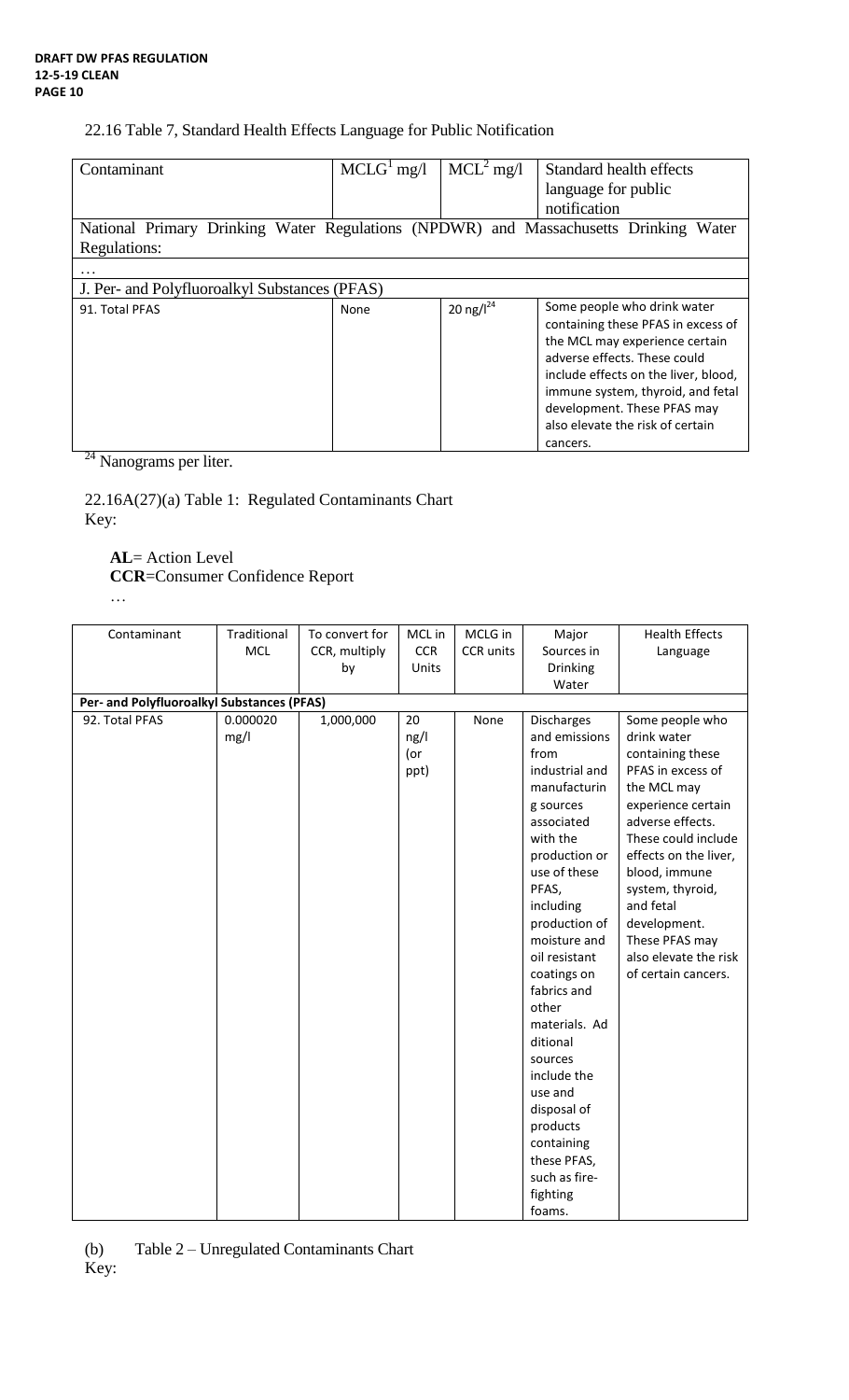## 22.16 Table 7, Standard Health Effects Language for Public Notification

| Contaminant                                                                                             | $MCLG1$ mg/l | $MCL2$ mg/l     | Standard health effects<br>language for public<br>notification                                                                                                                                                                                                                                  |  |  |
|---------------------------------------------------------------------------------------------------------|--------------|-----------------|-------------------------------------------------------------------------------------------------------------------------------------------------------------------------------------------------------------------------------------------------------------------------------------------------|--|--|
| National Primary Drinking Water Regulations (NPDWR) and Massachusetts Drinking<br>Water<br>Regulations: |              |                 |                                                                                                                                                                                                                                                                                                 |  |  |
|                                                                                                         |              |                 |                                                                                                                                                                                                                                                                                                 |  |  |
| J. Per- and Polyfluoroalkyl Substances (PFAS)                                                           |              |                 |                                                                                                                                                                                                                                                                                                 |  |  |
| 91. Total PFAS                                                                                          | None         | 20 ng/ $I^{24}$ | Some people who drink water<br>containing these PFAS in excess of<br>the MCL may experience certain<br>adverse effects. These could<br>include effects on the liver, blood,<br>immune system, thyroid, and fetal<br>development. These PFAS may<br>also elevate the risk of certain<br>cancers. |  |  |

<sup>24</sup> Nanograms per liter.

22.16A(27)(a) Table 1: Regulated Contaminants Chart Key:

# **AL**= Action Level

…

**CCR**=Consumer Confidence Report

| Contaminant                                | Traditional | To convert for | MCL in     | MCLG in   | Major                         | <b>Health Effects</b>                   |
|--------------------------------------------|-------------|----------------|------------|-----------|-------------------------------|-----------------------------------------|
|                                            | <b>MCL</b>  | CCR, multiply  | <b>CCR</b> | CCR units | Sources in                    | Language                                |
|                                            |             | by             | Units      |           | Drinking                      |                                         |
|                                            |             |                |            |           | Water                         |                                         |
| Per- and Polyfluoroalkyl Substances (PFAS) |             |                |            |           |                               |                                         |
| 92. Total PFAS                             | 0.000020    | 1,000,000      | 20         | None      | Discharges                    | Some people who                         |
|                                            | mg/l        |                | ng/l       |           | and emissions                 | drink water                             |
|                                            |             |                | (or        |           | from                          | containing these                        |
|                                            |             |                | ppt)       |           | industrial and                | PFAS in excess of                       |
|                                            |             |                |            |           | manufacturin                  | the MCL may                             |
|                                            |             |                |            |           | g sources                     | experience certain                      |
|                                            |             |                |            |           | associated                    | adverse effects.                        |
|                                            |             |                |            |           | with the                      | These could include                     |
|                                            |             |                |            |           | production or                 | effects on the liver,                   |
|                                            |             |                |            |           | use of these                  | blood, immune                           |
|                                            |             |                |            |           | PFAS,                         | system, thyroid,                        |
|                                            |             |                |            |           | including                     | and fetal                               |
|                                            |             |                |            |           | production of<br>moisture and | development.                            |
|                                            |             |                |            |           | oil resistant                 | These PFAS may<br>also elevate the risk |
|                                            |             |                |            |           | coatings on                   | of certain cancers.                     |
|                                            |             |                |            |           | fabrics and                   |                                         |
|                                            |             |                |            |           | other                         |                                         |
|                                            |             |                |            |           | materials. Ad                 |                                         |
|                                            |             |                |            |           | ditional                      |                                         |
|                                            |             |                |            |           | sources                       |                                         |
|                                            |             |                |            |           | include the                   |                                         |
|                                            |             |                |            |           | use and                       |                                         |
|                                            |             |                |            |           | disposal of                   |                                         |
|                                            |             |                |            |           | products                      |                                         |
|                                            |             |                |            |           | containing                    |                                         |
|                                            |             |                |            |           | these PFAS,                   |                                         |
|                                            |             |                |            |           | such as fire-                 |                                         |
|                                            |             |                |            |           | fighting                      |                                         |
|                                            |             |                |            |           | foams.                        |                                         |